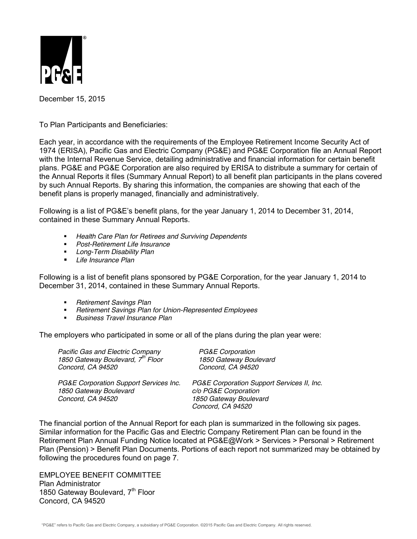

December 15, 2015

To Plan Participants and Beneficiaries:

Each year, in accordance with the requirements of the Employee Retirement Income Security Act of 1974 (ERISA), Pacific Gas and Electric Company (PG&E) and PG&E Corporation file an Annual Report with the Internal Revenue Service, detailing administrative and financial information for certain benefit plans. PG&E and PG&E Corporation are also required by ERISA to distribute a summary for certain of the Annual Reports it files (Summary Annual Report) to all benefit plan participants in the plans covered by such Annual Reports. By sharing this information, the companies are showing that each of the benefit plans is properly managed, financially and administratively.

Following is a list of PG&E's benefit plans, for the year January 1, 2014 to December 31, 2014, contained in these Summary Annual Reports.

- *Health Care Plan for Retirees and Surviving Dependents*
- *Post-Retirement Life Insurance*
- *Long-Term Disability Plan*
- *Life Insurance Plan*

Following is a list of benefit plans sponsored by PG&E Corporation, for the year January 1, 2014 to December 31, 2014, contained in these Summary Annual Reports.

- *Retirement Savings Plan*
- *Retirement Savings Plan for Union-Represented Employees*
- *Business Travel Insurance Plan*

The employers who participated in some or all of the plans during the plan year were:

| Pacific Gas and Electric Company<br>1850 Gateway Boulevard, 7 <sup>th</sup> Floor<br>Concord, CA 94520 | PG&E Corporation<br>1850 Gateway Boulevard<br>Concord, CA 94520                                                   |
|--------------------------------------------------------------------------------------------------------|-------------------------------------------------------------------------------------------------------------------|
| PG&E Corporation Support Services Inc.<br>1850 Gateway Boulevard<br>Concord, CA 94520                  | PG&E Corporation Support Services II, Inc.<br>c/o PG&E Corporation<br>1850 Gateway Boulevard<br>Concord, CA 94520 |

The financial portion of the Annual Report for each plan is summarized in the following six pages. Similar information for the Pacific Gas and Electric Company Retirement Plan can be found in the Retirement Plan Annual Funding Notice located at PG&E@Work > Services > Personal > Retirement Plan (Pension) > Benefit Plan Documents. Portions of each report not summarized may be obtained by following the procedures found on page 7.

EMPLOYEE BENEFIT COMMITTEE Plan Administrator 1850 Gateway Boulevard, 7<sup>th</sup> Floor Concord, CA 94520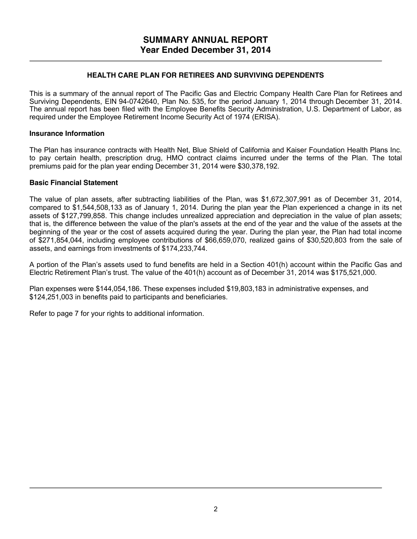### **HEALTH CARE PLAN FOR RETIREES AND SURVIVING DEPENDENTS**

This is a summary of the annual report of The Pacific Gas and Electric Company Health Care Plan for Retirees and Surviving Dependents, EIN 94-0742640, Plan No. 535, for the period January 1, 2014 through December 31, 2014. The annual report has been filed with the Employee Benefits Security Administration, U.S. Department of Labor, as required under the Employee Retirement Income Security Act of 1974 (ERISA).

### **Insurance Information**

The Plan has insurance contracts with Health Net, Blue Shield of California and Kaiser Foundation Health Plans Inc. to pay certain health, prescription drug, HMO contract claims incurred under the terms of the Plan. The total premiums paid for the plan year ending December 31, 2014 were \$30,378,192.

### **Basic Financial Statement**

The value of plan assets, after subtracting liabilities of the Plan, was \$1,672,307,991 as of December 31, 2014, compared to \$1,544,508,133 as of January 1, 2014. During the plan year the Plan experienced a change in its net assets of \$127,799,858. This change includes unrealized appreciation and depreciation in the value of plan assets; that is, the difference between the value of the plan's assets at the end of the year and the value of the assets at the beginning of the year or the cost of assets acquired during the year. During the plan year, the Plan had total income of \$271,854,044, including employee contributions of \$66,659,070, realized gains of \$30,520,803 from the sale of assets, and earnings from investments of \$174,233,744.

A portion of the Plan's assets used to fund benefits are held in a Section 401(h) account within the Pacific Gas and Electric Retirement Plan's trust. The value of the 401(h) account as of December 31, 2014 was \$175,521,000.

Plan expenses were \$144,054,186. These expenses included \$19,803,183 in administrative expenses, and \$124,251,003 in benefits paid to participants and beneficiaries.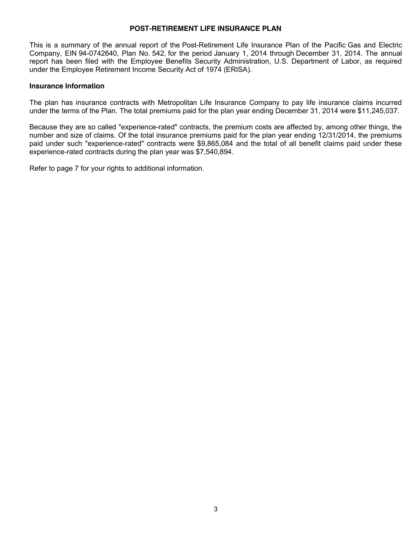#### **POST-RETIREMENT LIFE INSURANCE PLAN**

This is a summary of the annual report of the Post-Retirement Life Insurance Plan of the Pacific Gas and Electric Company, EIN 94-0742640, Plan No. 542, for the period January 1, 2014 through December 31, 2014. The annual report has been filed with the Employee Benefits Security Administration, U.S. Department of Labor, as required under the Employee Retirement Income Security Act of 1974 (ERISA).

#### **Insurance Information**

The plan has insurance contracts with Metropolitan Life Insurance Company to pay life insurance claims incurred under the terms of the Plan. The total premiums paid for the plan year ending December 31, 2014 were \$11,245,037.

Because they are so called "experience-rated" contracts, the premium costs are affected by, among other things, the number and size of claims. Of the total insurance premiums paid for the plan year ending 12/31/2014, the premiums paid under such "experience-rated" contracts were \$9,865,084 and the total of all benefit claims paid under these experience-rated contracts during the plan year was \$7,540,894.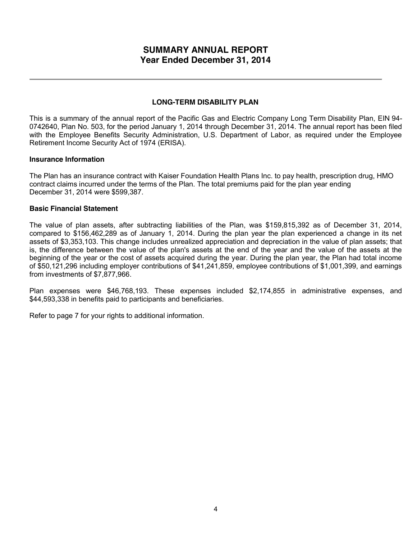# **SUMMARY ANNUAL REPORT Year Ended December 31, 2014**

### **LONG-TERM DISABILITY PLAN**

This is a summary of the annual report of the Pacific Gas and Electric Company Long Term Disability Plan, EIN 94- 0742640, Plan No. 503, for the period January 1, 2014 through December 31, 2014. The annual report has been filed with the Employee Benefits Security Administration, U.S. Department of Labor, as required under the Employee Retirement Income Security Act of 1974 (ERISA).

#### **Insurance Information**

The Plan has an insurance contract with Kaiser Foundation Health Plans Inc. to pay health, prescription drug, HMO contract claims incurred under the terms of the Plan. The total premiums paid for the plan year ending December 31, 2014 were \$599,387.

#### **Basic Financial Statement**

The value of plan assets, after subtracting liabilities of the Plan, was \$159,815,392 as of December 31, 2014, compared to \$156,462,289 as of January 1, 2014. During the plan year the plan experienced a change in its net assets of \$3,353,103. This change includes unrealized appreciation and depreciation in the value of plan assets; that is, the difference between the value of the plan's assets at the end of the year and the value of the assets at the beginning of the year or the cost of assets acquired during the year. During the plan year, the Plan had total income of \$50,121,296 including employer contributions of \$41,241,859, employee contributions of \$1,001,399, and earnings from investments of \$7,877,966.

Plan expenses were \$46,768,193. These expenses included \$2,174,855 in administrative expenses, and \$44,593,338 in benefits paid to participants and beneficiaries.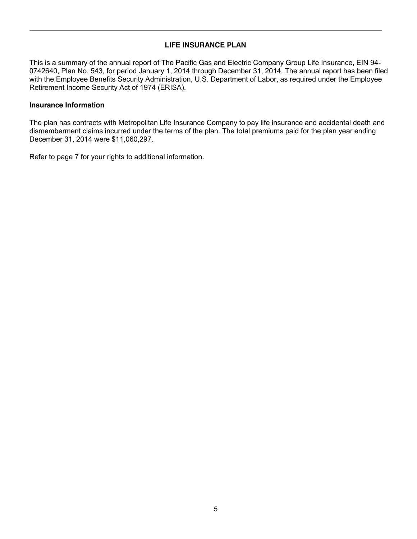# **LIFE INSURANCE PLAN**

This is a summary of the annual report of The Pacific Gas and Electric Company Group Life Insurance, EIN 94- 0742640, Plan No. 543, for period January 1, 2014 through December 31, 2014. The annual report has been filed with the Employee Benefits Security Administration, U.S. Department of Labor, as required under the Employee Retirement Income Security Act of 1974 (ERISA).

### **Insurance Information**

The plan has contracts with Metropolitan Life Insurance Company to pay life insurance and accidental death and dismemberment claims incurred under the terms of the plan. The total premiums paid for the plan year ending December 31, 2014 were \$11,060,297.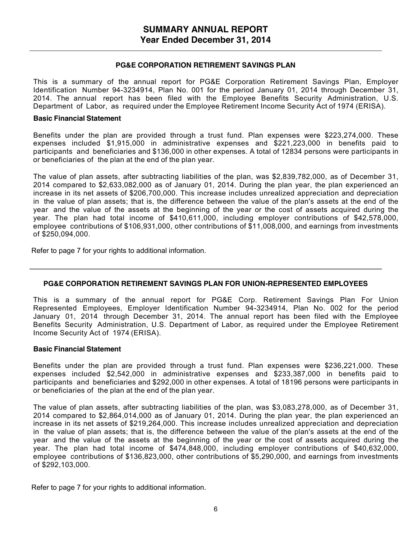#### **PG&E CORPORATION RETIREMENT SAVINGS PLAN**

This is a summary of the annual report for PG&E Corporation Retirement Savings Plan, Employer Identification Number 94-3234914, Plan No. 001 for the period January 01, 2014 through December 31, 2014. The annual report has been filed with the Employee Benefits Security Administration, U.S. Department of Labor, as required under the Employee Retirement Income Security Act of 1974 (ERISA).

#### **Basic Financial Statement**

Benefits under the plan are provided through a trust fund. Plan expenses were \$223,274,000. These expenses included \$1,915,000 in administrative expenses and \$221,223,000 in benefits paid to participants and beneficiaries and \$136,000 in other expenses. A total of 12834 persons were participants in or beneficiaries of the plan at the end of the plan year.

The value of plan assets, after subtracting liabilities of the plan, was \$2,839,782,000, as of December 31, 2014 compared to \$2,633,082,000 as of January 01, 2014. During the plan year, the plan experienced an increase in its net assets of \$206,700,000. This increase includes unrealized appreciation and depreciation in the value of plan assets; that is, the difference between the value of the plan's assets at the end of the year and the value of the assets at the beginning of the year or the cost of assets acquired during the year. The plan had total income of \$410,611,000, including employer contributions of \$42,578,000, employee contributions of \$106,931,000, other contributions of \$11,008,000, and earnings from investments of \$250,094,000.

Refer to page 7 for your rights to additional information.

#### **PG&E CORPORATION RETIREMENT SAVINGS PLAN FOR UNION-REPRESENTED EMPLOYEES**

This is a summary of the annual report for PG&E Corp. Retirement Savings Plan For Union Represented Employees, Employer Identification Number 94-3234914, Plan No. 002 for the period January 01, 2014 through December 31, 2014. The annual report has been filed with the Employee Benefits Security Administration, U.S. Department of Labor, as required under the Employee Retirement Income Security Act of 1974 (ERISA).

#### **Basic Financial Statement**

Benefits under the plan are provided through a trust fund. Plan expenses were \$236,221,000. These expenses included \$2,542,000 in administrative expenses and \$233,387,000 in benefits paid to participants and beneficiaries and \$292,000 in other expenses. A total of 18196 persons were participants in or beneficiaries of the plan at the end of the plan year.

The value of plan assets, after subtracting liabilities of the plan, was \$3,083,278,000, as of December 31, 2014 compared to \$2,864,014,000 as of January 01, 2014. During the plan year, the plan experienced an increase in its net assets of \$219,264,000. This increase includes unrealized appreciation and depreciation in the value of plan assets; that is, the difference between the value of the plan's assets at the end of the year and the value of the assets at the beginning of the year or the cost of assets acquired during the year. The plan had total income of \$474,848,000, including employer contributions of \$40,632,000, employee contributions of \$136,823,000, other contributions of \$5,290,000, and earnings from investments of \$292,103,000.